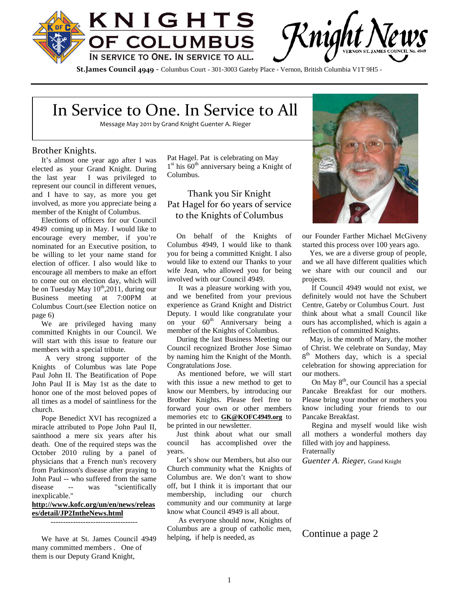

Rnight I

**St.James Council 4949** - Columbus Court - 301-3003 Gateby Place - Vernon, British Columbia V1T 9H5 -

## In Service to One. In Service to All

Message May 2011 by Grand Knight Guenter A. Rieger

#### Brother Knights.

It's almost one year ago after I was elected as your Grand Knight. During the last year I was privileged to represent our council in different venues, and I have to say, as more you get involved, as more you appreciate being a member of the Knight of Columbus.

Elections of officers for our Council 4949 coming up in May. I would like to encourage every member, if you're nominated for an Executive position, to be willing to let your name stand for election of officer. I also would like to encourage all members to make an effort to come out on election day, which will be on Tuesday May  $10^{th}$ ,2011, during our Business meeting at 7:00PM at Columbus Court.(see Election notice on page 6)

We are privileged having many committed Knights in our Council. We will start with this issue to feature our members with a special tribute.

A very strong supporter of the Knights of Columbus was late Pope Paul John II. The Beatification of Pope John Paul II is May 1st as the date to honor one of the most beloved popes of all times as a model of saintliness for the church.

Pope Benedict XVI has recognized a miracle attributed to Pope John Paul II, sainthood a mere six years after his Just<br>death. One of the required steps was the council death. One of the required steps was the October 2010 ruling by a panel of physicians that a French nun's recovery from Parkinson's disease after praying to John Paul -- who suffered from the same disease -- was "scientifically inexplicable."

### **http://www.kofc.org/un/en/news/releas es/detail/JP2IntheNews.html**

-----------------------------------

We have at St. James Council 4949 many committed members . One of them is our Deputy Grand Knight,

Pat Hagel. Pat is celebrating on May 1<sup>st</sup> his 60<sup>th</sup> anniversary being a Knight of Columbus.

## Thank you Sir Knight Pat Hagel for 60 years of service to the Knights of Columbus

On behalf of the Knights of Columbus 4949, I would like to thank you for being a committed Knight. I also would like to extend our Thanks to your wife Jean, who allowed you for being involved with our Council 4949.

It was a pleasure working with you, and we benefited from your previous experience as Grand Knight and District Deputy. I would like congratulate your on your  $60^{th}$  Anniversary being a member of the Knights of Columbus.

During the last Business Meeting our Council recognized Brother Jose Simao by naming him the Knight of the Month. Congratulations Jose.

As mentioned before, we will start with this issue a new method to get to know our Members, by introducing our Brother Knights. Please feel free to forward your own or other members memories etc to **GK@KOFC4949.org** to be printed in our newsletter.

Just think about what our small has accomplished over the years.

Let's show our Members, but also our Church community what the Knights of Columbus are. We don't want to show off, but I think it is important that our membership, including our church community and our community at large know what Council 4949 is all about.

As everyone should now, Knights of Columbus are a group of catholic men, helping, if help is needed, as



our Founder Farther Michael McGiveny started this process over 100 years ago.

Yes, we are a diverse group of people, and we all have different qualities which we share with our council and our projects.

If Council 4949 would not exist, we definitely would not have the Schubert Centre, Gateby or Columbus Court. Just think about what a small Council like ours has accomplished, which is again a reflection of committed Knights.

May, is the month of Mary, the mother of Christ. We celebrate on Sunday, May 8<sup>th</sup> Mothers day, which is a special celebration for showing appreciation for our mothers.

On May  $8<sup>th</sup>$ , our Council has a special Pancake Breakfast for our mothers. Please bring your mother or mothers you know including your friends to our Pancake Breakfast.

Regina and myself would like wish all mothers a wonderful mothers day filled with joy and happiness. Fraternally

*Guenter A. Rieger,* Grand Knight

### Continue a page 2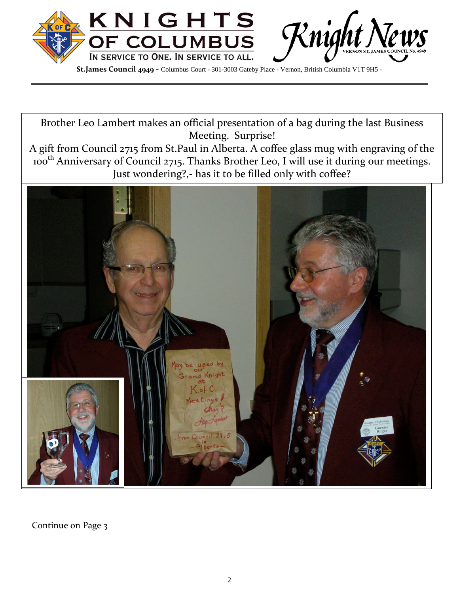

Brother Leo Lambert makes an official presentation of a bag during the last Business Meeting. Surprise!

A gift from Council 2715 from St.Paul in Alberta. A coffee glass mug with engraving of the 100th Anniversary of Council 2715. Thanks Brother Leo, I will use it during our meetings. Just wondering?,- has it to be filled only with coffee?



Continue on Page 3